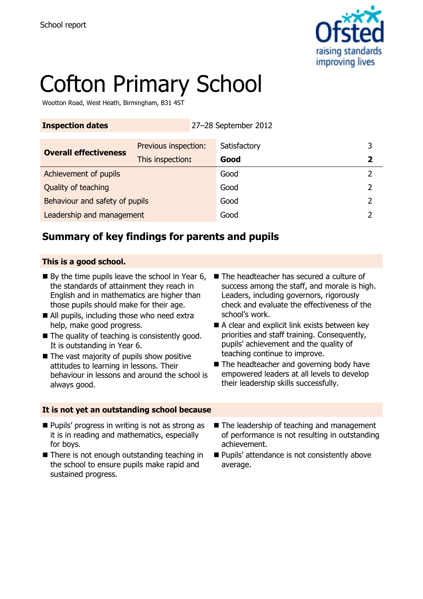

# Cofton Primary School

Wootton Road, West Heath, Birmingham, B31 4ST

| <b>Inspection dates</b>        |                      |  | 27-28 September 2012 |                         |
|--------------------------------|----------------------|--|----------------------|-------------------------|
| <b>Overall effectiveness</b>   | Previous inspection: |  | Satisfactory         | 3                       |
|                                | This inspection:     |  | Good                 | $\overline{\mathbf{2}}$ |
| Achievement of pupils          |                      |  | Good                 |                         |
| Quality of teaching            |                      |  | Good                 | 2                       |
| Behaviour and safety of pupils |                      |  | Good                 | 2                       |
| Leadership and management      |                      |  | Good                 |                         |

## **Summary of key findings for parents and pupils**

### **This is a good school.**

- $\blacksquare$  By the time pupils leave the school in Year 6, the standards of attainment they reach in English and in mathematics are higher than those pupils should make for their age.
- All pupils, including those who need extra help, make good progress.
- $\blacksquare$  The quality of teaching is consistently good. It is outstanding in Year 6.
- $\blacksquare$  The vast majority of pupils show positive attitudes to learning in lessons. Their behaviour in lessons and around the school is always good.

#### **It is not yet an outstanding school because**

- The headteacher has secured a culture of success among the staff, and morale is high. Leaders, including governors, rigorously check and evaluate the effectiveness of the school's work.
- A clear and explicit link exists between key priorities and staff training. Consequently, pupils' achievement and the quality of teaching continue to improve.
- The headteacher and governing body have empowered leaders at all levels to develop their leadership skills successfully.
- **Pupils' progress in writing is not as strong as** it is in reading and mathematics, especially for boys.
- There is not enough outstanding teaching in the school to ensure pupils make rapid and sustained progress.
- The leadership of teaching and management of performance is not resulting in outstanding achievement.
- **Pupils' attendance is not consistently above** average.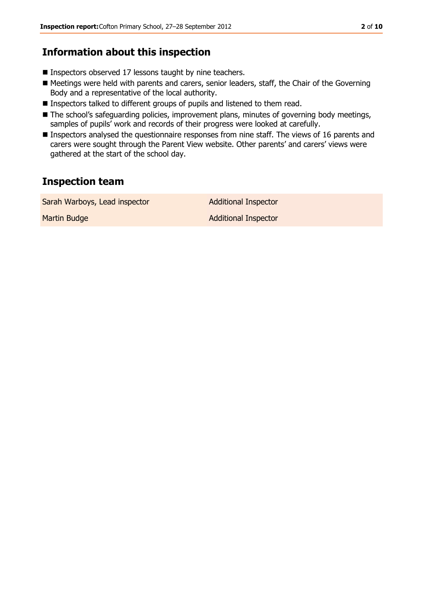## **Information about this inspection**

- Inspectors observed 17 lessons taught by nine teachers.
- Meetings were held with parents and carers, senior leaders, staff, the Chair of the Governing Body and a representative of the local authority.
- **Inspectors talked to different groups of pupils and listened to them read.**
- The school's safeguarding policies, improvement plans, minutes of governing body meetings, samples of pupils' work and records of their progress were looked at carefully.
- **Inspectors analysed the questionnaire responses from nine staff. The views of 16 parents and** carers were sought through the Parent View website. Other parents' and carers' views were gathered at the start of the school day.

## **Inspection team**

| Sarah Warboys, Lead inspector | <b>Additional Inspector</b> |
|-------------------------------|-----------------------------|
| Martin Budge                  | <b>Additional Inspector</b> |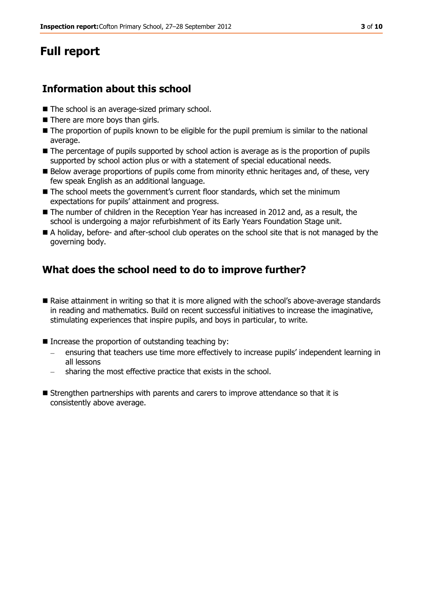# **Full report**

## **Information about this school**

- The school is an average-sized primary school.
- There are more boys than girls.
- $\blacksquare$  The proportion of pupils known to be eligible for the pupil premium is similar to the national average.
- The percentage of pupils supported by school action is average as is the proportion of pupils supported by school action plus or with a statement of special educational needs.
- Below average proportions of pupils come from minority ethnic heritages and, of these, very few speak English as an additional language.
- The school meets the government's current floor standards, which set the minimum expectations for pupils' attainment and progress.
- The number of children in the Reception Year has increased in 2012 and, as a result, the school is undergoing a major refurbishment of its Early Years Foundation Stage unit.
- A holiday, before- and after-school club operates on the school site that is not managed by the governing body.

## **What does the school need to do to improve further?**

- Raise attainment in writing so that it is more aligned with the school's above-average standards in reading and mathematics. Build on recent successful initiatives to increase the imaginative, stimulating experiences that inspire pupils, and boys in particular, to write.
- $\blacksquare$  Increase the proportion of outstanding teaching by:
	- ensuring that teachers use time more effectively to increase pupils' independent learning in all lessons
	- sharing the most effective practice that exists in the school.
- Strengthen partnerships with parents and carers to improve attendance so that it is consistently above average.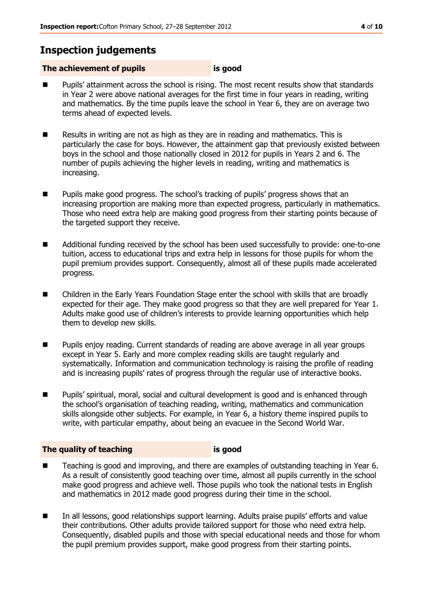## **Inspection judgements**

### **The achievement of pupils is good**

- Pupils' attainment across the school is rising. The most recent results show that standards in Year 2 were above national averages for the first time in four years in reading, writing and mathematics. By the time pupils leave the school in Year 6, they are on average two terms ahead of expected levels.
- Results in writing are not as high as they are in reading and mathematics. This is particularly the case for boys. However, the attainment gap that previously existed between boys in the school and those nationally closed in 2012 for pupils in Years 2 and 6. The number of pupils achieving the higher levels in reading, writing and mathematics is increasing.
- **Pupils make good progress. The school's tracking of pupils' progress shows that an** increasing proportion are making more than expected progress, particularly in mathematics. Those who need extra help are making good progress from their starting points because of the targeted support they receive.
- Additional funding received by the school has been used successfully to provide: one-to-one tuition, access to educational trips and extra help in lessons for those pupils for whom the pupil premium provides support. Consequently, almost all of these pupils made accelerated progress.
- Children in the Early Years Foundation Stage enter the school with skills that are broadly expected for their age. They make good progress so that they are well prepared for Year 1. Adults make good use of children's interests to provide learning opportunities which help them to develop new skills.
- **Pupillace Pupils enjoy reading. Current standards of reading are above average in all year groups** except in Year 5. Early and more complex reading skills are taught regularly and systematically. Information and communication technology is raising the profile of reading and is increasing pupils' rates of progress through the regular use of interactive books.
- Pupils' spiritual, moral, social and cultural development is good and is enhanced through the school's organisation of teaching reading, writing, mathematics and communication skills alongside other subjects. For example, in Year 6, a history theme inspired pupils to write, with particular empathy, about being an evacuee in the Second World War.

#### **The quality of teaching is good**

- Teaching is good and improving, and there are examples of outstanding teaching in Year 6. As a result of consistently good teaching over time, almost all pupils currently in the school make good progress and achieve well. Those pupils who took the national tests in English and mathematics in 2012 made good progress during their time in the school.
- In all lessons, good relationships support learning. Adults praise pupils' efforts and value their contributions. Other adults provide tailored support for those who need extra help. Consequently, disabled pupils and those with special educational needs and those for whom the pupil premium provides support, make good progress from their starting points.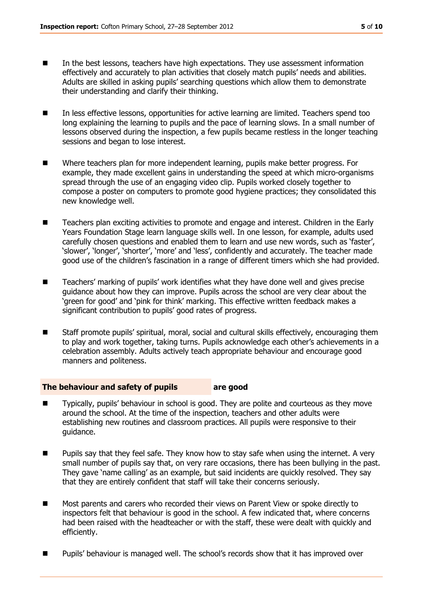- In the best lessons, teachers have high expectations. They use assessment information effectively and accurately to plan activities that closely match pupils' needs and abilities. Adults are skilled in asking pupils' searching questions which allow them to demonstrate their understanding and clarify their thinking.
- In less effective lessons, opportunities for active learning are limited. Teachers spend too long explaining the learning to pupils and the pace of learning slows. In a small number of lessons observed during the inspection, a few pupils became restless in the longer teaching sessions and began to lose interest.
- Where teachers plan for more independent learning, pupils make better progress. For example, they made excellent gains in understanding the speed at which micro-organisms spread through the use of an engaging video clip. Pupils worked closely together to compose a poster on computers to promote good hygiene practices; they consolidated this new knowledge well.
- Teachers plan exciting activities to promote and engage and interest. Children in the Early Years Foundation Stage learn language skills well. In one lesson, for example, adults used carefully chosen questions and enabled them to learn and use new words, such as 'faster', 'slower', 'longer', 'shorter', 'more' and 'less', confidently and accurately. The teacher made good use of the children's fascination in a range of different timers which she had provided.
- Teachers' marking of pupils' work identifies what they have done well and gives precise guidance about how they can improve. Pupils across the school are very clear about the 'green for good' and 'pink for think' marking. This effective written feedback makes a significant contribution to pupils' good rates of progress.
- Staff promote pupils' spiritual, moral, social and cultural skills effectively, encouraging them to play and work together, taking turns. Pupils acknowledge each other's achievements in a celebration assembly. Adults actively teach appropriate behaviour and encourage good manners and politeness.

#### **The behaviour and safety of pupils are good**

- Typically, pupils' behaviour in school is good. They are polite and courteous as they move around the school. At the time of the inspection, teachers and other adults were establishing new routines and classroom practices. All pupils were responsive to their guidance.
- **Pupils say that they feel safe. They know how to stay safe when using the internet. A very** small number of pupils say that, on very rare occasions, there has been bullying in the past. They gave 'name calling' as an example, but said incidents are quickly resolved. They say that they are entirely confident that staff will take their concerns seriously.
- Most parents and carers who recorded their views on Parent View or spoke directly to inspectors felt that behaviour is good in the school. A few indicated that, where concerns had been raised with the headteacher or with the staff, these were dealt with quickly and efficiently.
- Pupils' behaviour is managed well. The school's records show that it has improved over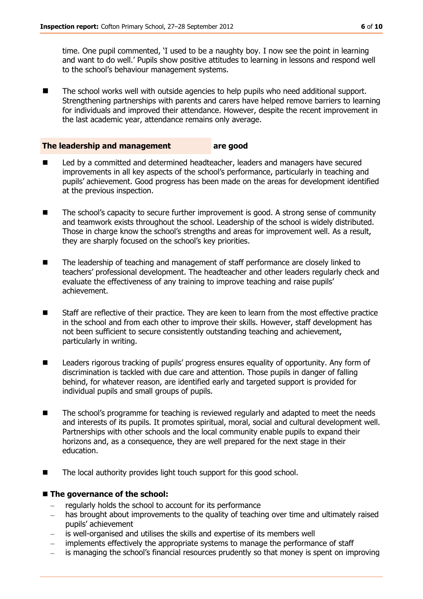time. One pupil commented, 'I used to be a naughty boy. I now see the point in learning and want to do well.' Pupils show positive attitudes to learning in lessons and respond well to the school's behaviour management systems.

■ The school works well with outside agencies to help pupils who need additional support. Strengthening partnerships with parents and carers have helped remove barriers to learning for individuals and improved their attendance. However, despite the recent improvement in the last academic year, attendance remains only average.

#### **The leadership and management are good**

- Led by a committed and determined headteacher, leaders and managers have secured improvements in all key aspects of the school's performance, particularly in teaching and pupils' achievement. Good progress has been made on the areas for development identified at the previous inspection.
- The school's capacity to secure further improvement is good. A strong sense of community and teamwork exists throughout the school. Leadership of the school is widely distributed. Those in charge know the school's strengths and areas for improvement well. As a result, they are sharply focused on the school's key priorities.
- The leadership of teaching and management of staff performance are closely linked to teachers' professional development. The headteacher and other leaders regularly check and evaluate the effectiveness of any training to improve teaching and raise pupils' achievement.
- Staff are reflective of their practice. They are keen to learn from the most effective practice in the school and from each other to improve their skills. However, staff development has not been sufficient to secure consistently outstanding teaching and achievement, particularly in writing.
- **Leaders rigorous tracking of pupils' progress ensures equality of opportunity. Any form of** discrimination is tackled with due care and attention. Those pupils in danger of falling behind, for whatever reason, are identified early and targeted support is provided for individual pupils and small groups of pupils.
- The school's programme for teaching is reviewed regularly and adapted to meet the needs and interests of its pupils. It promotes spiritual, moral, social and cultural development well. Partnerships with other schools and the local community enable pupils to expand their horizons and, as a consequence, they are well prepared for the next stage in their education.
- The local authority provides light touch support for this good school.

#### ■ The governance of the school:

- regularly holds the school to account for its performance
- has brought about improvements to the quality of teaching over time and ultimately raised pupils' achievement
- is well-organised and utilises the skills and expertise of its members well
- implements effectively the appropriate systems to manage the performance of staff
- is managing the school's financial resources prudently so that money is spent on improving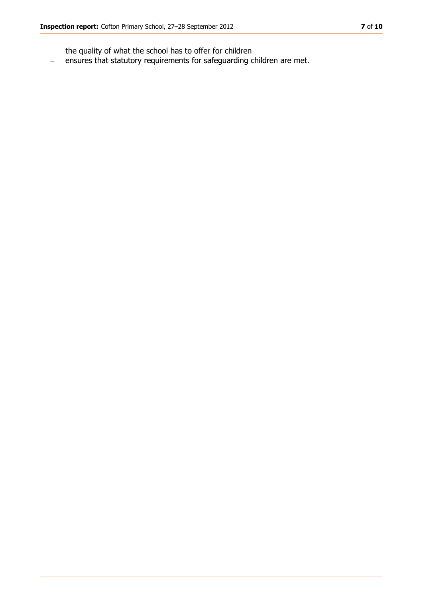the quality of what the school has to offer for children

 $\equiv$ ensures that statutory requirements for safeguarding children are met.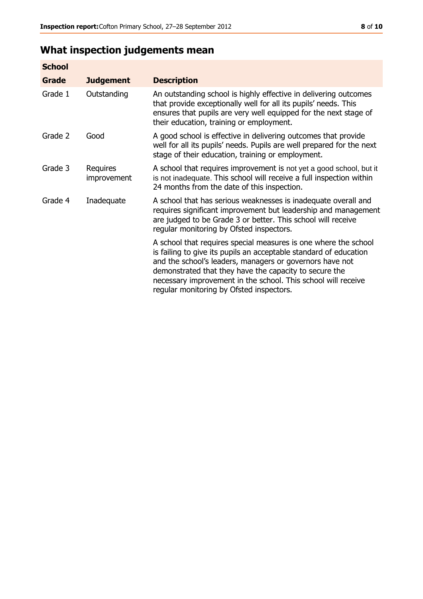# **What inspection judgements mean**

| <b>School</b> |                         |                                                                                                                                                                                                                                                                                                                                                                         |
|---------------|-------------------------|-------------------------------------------------------------------------------------------------------------------------------------------------------------------------------------------------------------------------------------------------------------------------------------------------------------------------------------------------------------------------|
| Grade         | <b>Judgement</b>        | <b>Description</b>                                                                                                                                                                                                                                                                                                                                                      |
| Grade 1       | Outstanding             | An outstanding school is highly effective in delivering outcomes<br>that provide exceptionally well for all its pupils' needs. This<br>ensures that pupils are very well equipped for the next stage of<br>their education, training or employment.                                                                                                                     |
| Grade 2       | Good                    | A good school is effective in delivering outcomes that provide<br>well for all its pupils' needs. Pupils are well prepared for the next<br>stage of their education, training or employment.                                                                                                                                                                            |
| Grade 3       | Requires<br>improvement | A school that requires improvement is not yet a good school, but it<br>is not inadequate. This school will receive a full inspection within<br>24 months from the date of this inspection.                                                                                                                                                                              |
| Grade 4       | Inadequate              | A school that has serious weaknesses is inadequate overall and<br>requires significant improvement but leadership and management<br>are judged to be Grade 3 or better. This school will receive<br>regular monitoring by Ofsted inspectors.                                                                                                                            |
|               |                         | A school that requires special measures is one where the school<br>is failing to give its pupils an acceptable standard of education<br>and the school's leaders, managers or governors have not<br>demonstrated that they have the capacity to secure the<br>necessary improvement in the school. This school will receive<br>regular monitoring by Ofsted inspectors. |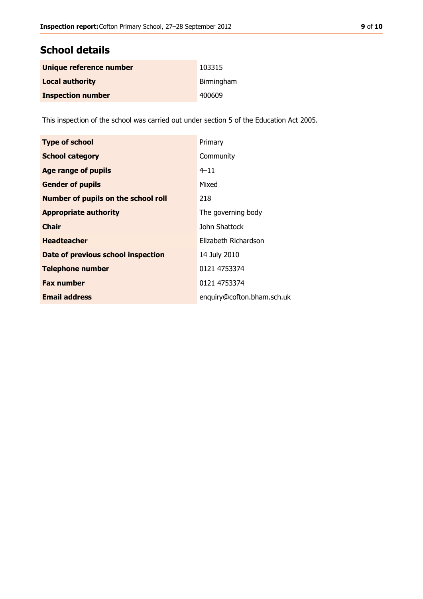## **School details**

| Unique reference number  | 103315     |
|--------------------------|------------|
| <b>Local authority</b>   | Birmingham |
| <b>Inspection number</b> | 400609     |

This inspection of the school was carried out under section 5 of the Education Act 2005.

| <b>Type of school</b>                      | Primary                    |
|--------------------------------------------|----------------------------|
| <b>School category</b>                     | Community                  |
| <b>Age range of pupils</b>                 | $4 - 11$                   |
| <b>Gender of pupils</b>                    | Mixed                      |
| <b>Number of pupils on the school roll</b> | 218                        |
| <b>Appropriate authority</b>               | The governing body         |
| <b>Chair</b>                               | John Shattock              |
| <b>Headteacher</b>                         | Elizabeth Richardson       |
| Date of previous school inspection         | 14 July 2010               |
| <b>Telephone number</b>                    | 0121 4753374               |
| <b>Fax number</b>                          | 0121 4753374               |
| <b>Email address</b>                       | enquiry@cofton.bham.sch.uk |